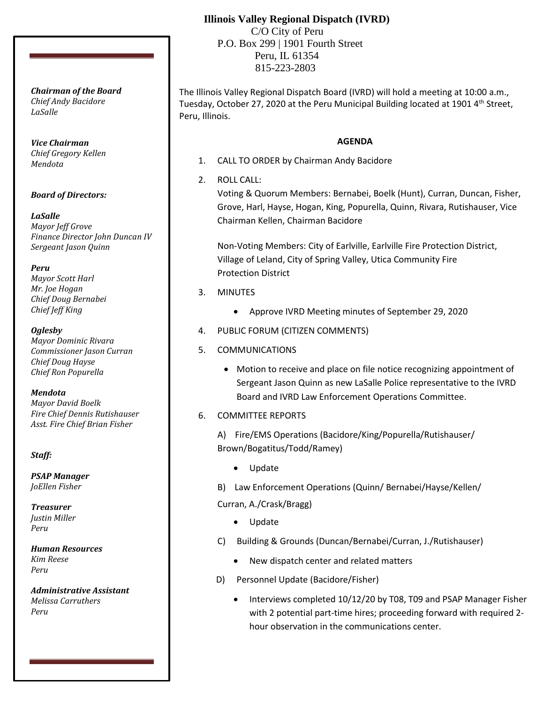# **Illinois Valley Regional Dispatch (IVRD)**

 C/O City of Peru P.O. Box 299 | 1901 Fourth Street Peru, IL 61354 815-223-2803

The Illinois Valley Regional Dispatch Board (IVRD) will hold a meeting at 10:00 a.m., Tuesday, October 27, 2020 at the Peru Municipal Building located at 1901 4<sup>th</sup> Street, Peru, Illinois.

### **AGENDA**

- 1. CALL TO ORDER by Chairman Andy Bacidore
- 2. ROLL CALL:

Voting & Quorum Members: Bernabei, Boelk (Hunt), Curran, Duncan, Fisher, Grove, Harl, Hayse, Hogan, King, Popurella, Quinn, Rivara, Rutishauser, Vice Chairman Kellen, Chairman Bacidore

Non-Voting Members: City of Earlville, Earlville Fire Protection District, Village of Leland, City of Spring Valley, Utica Community Fire Protection District

- 3. MINUTES
	- Approve IVRD Meeting minutes of September 29, 2020
- 4. PUBLIC FORUM (CITIZEN COMMENTS)
- 5. COMMUNICATIONS
	- Motion to receive and place on file notice recognizing appointment of Sergeant Jason Quinn as new LaSalle Police representative to the IVRD Board and IVRD Law Enforcement Operations Committee.
- 6. COMMITTEE REPORTS

A) Fire/EMS Operations (Bacidore/King/Popurella/Rutishauser/ Brown/Bogatitus/Todd/Ramey)

- Update
- B) Law Enforcement Operations (Quinn/ Bernabei/Hayse/Kellen/

Curran, A./Crask/Bragg)

- Update
- C) Building & Grounds (Duncan/Bernabei/Curran, J./Rutishauser)
	- New dispatch center and related matters
- D) Personnel Update (Bacidore/Fisher)
	- Interviews completed 10/12/20 by T08, T09 and PSAP Manager Fisher with 2 potential part-time hires; proceeding forward with required 2 hour observation in the communications center.

*Chairman of the Board Chief Andy Bacidore LaSalle*

*Vice Chairman Chief Gregory Kellen Mendota*

*Board of Directors:*

*LaSalle Mayor Jeff Grove Finance Director John Duncan IV Sergeant Jason Quinn*

*Peru Mayor Scott Harl Mr. Joe Hogan Chief Doug Bernabei Chief Jeff King*

*Oglesby Mayor Dominic Rivara Commissioner Jason Curran Chief Doug Hayse Chief Ron Popurella*

*Mendota Mayor David Boelk Fire Chief Dennis Rutishauser Asst. Fire Chief Brian Fisher*

*Staff:*

*PSAP Manager JoEllen Fisher*

*Treasurer Justin Miller Peru*

*Human Resources Kim Reese Peru*

*Administrative Assistant Melissa Carruthers Peru*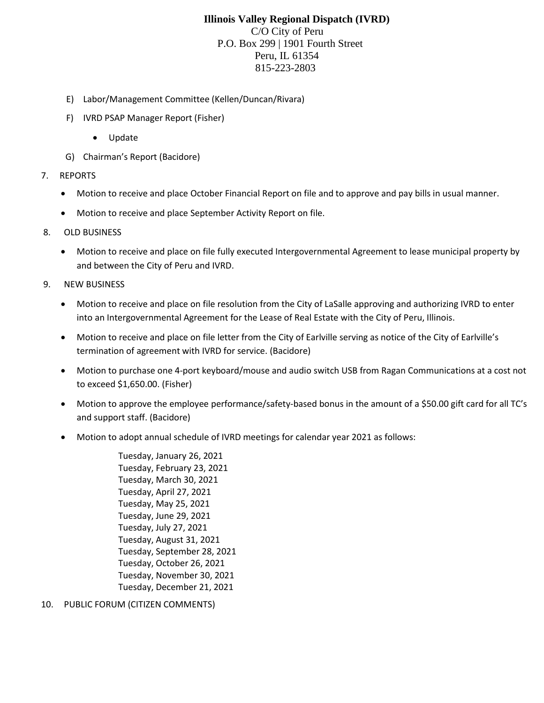## **Illinois Valley Regional Dispatch (IVRD)** C/O City of Peru P.O. Box 299 | 1901 Fourth Street Peru, IL 61354 815-223-2803

- E) Labor/Management Committee (Kellen/Duncan/Rivara)
- F) IVRD PSAP Manager Report (Fisher)
	- Update
- G) Chairman's Report (Bacidore)
- 7. REPORTS
	- Motion to receive and place October Financial Report on file and to approve and pay bills in usual manner.
	- Motion to receive and place September Activity Report on file.
- 8. OLD BUSINESS
	- Motion to receive and place on file fully executed Intergovernmental Agreement to lease municipal property by and between the City of Peru and IVRD.
- 9. NEW BUSINESS
	- Motion to receive and place on file resolution from the City of LaSalle approving and authorizing IVRD to enter into an Intergovernmental Agreement for the Lease of Real Estate with the City of Peru, Illinois.
	- Motion to receive and place on file letter from the City of Earlville serving as notice of the City of Earlville's termination of agreement with IVRD for service. (Bacidore)
	- Motion to purchase one 4-port keyboard/mouse and audio switch USB from Ragan Communications at a cost not to exceed \$1,650.00. (Fisher)
	- Motion to approve the employee performance/safety-based bonus in the amount of a \$50.00 gift card for all TC's and support staff. (Bacidore)
	- Motion to adopt annual schedule of IVRD meetings for calendar year 2021 as follows:

Tuesday, January 26, 2021 Tuesday, February 23, 2021 Tuesday, March 30, 2021 Tuesday, April 27, 2021 Tuesday, May 25, 2021 Tuesday, June 29, 2021 Tuesday, July 27, 2021 Tuesday, August 31, 2021 Tuesday, September 28, 2021 Tuesday, October 26, 2021 Tuesday, November 30, 2021 Tuesday, December 21, 2021

10. PUBLIC FORUM (CITIZEN COMMENTS)